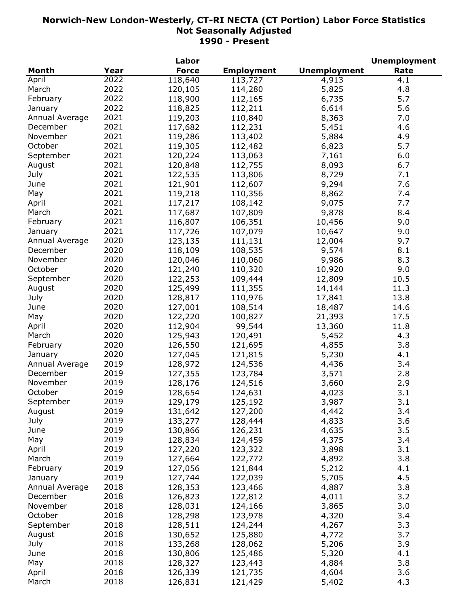|                |      | Labor        |                      |                     | <b>Unemployment</b> |
|----------------|------|--------------|----------------------|---------------------|---------------------|
| <b>Month</b>   | Year | <b>Force</b> | <b>Employment</b>    | <b>Unemployment</b> | Rate                |
| April          | 2022 | 118,640      | $\overline{11}3,727$ | 4,913               | 4.1                 |
| March          | 2022 | 120,105      | 114,280              | 5,825               | 4.8                 |
| February       | 2022 | 118,900      | 112,165              | 6,735               | 5.7                 |
| January        | 2022 | 118,825      | 112,211              | 6,614               | 5.6                 |
| Annual Average | 2021 | 119,203      | 110,840              | 8,363               | 7.0                 |
| December       | 2021 | 117,682      | 112,231              | 5,451               | 4.6                 |
| November       | 2021 | 119,286      | 113,402              | 5,884               | 4.9                 |
| October        | 2021 | 119,305      | 112,482              | 6,823               | 5.7                 |
| September      | 2021 | 120,224      | 113,063              | 7,161               | 6.0                 |
| August         | 2021 | 120,848      | 112,755              | 8,093               | 6.7                 |
| July           | 2021 | 122,535      | 113,806              | 8,729               | 7.1                 |
| June           | 2021 | 121,901      |                      | 9,294               | 7.6                 |
|                | 2021 |              | 112,607              |                     |                     |
| May            |      | 119,218      | 110,356              | 8,862               | 7.4                 |
| April          | 2021 | 117,217      | 108,142              | 9,075               | 7.7                 |
| March          | 2021 | 117,687      | 107,809              | 9,878               | 8.4                 |
| February       | 2021 | 116,807      | 106,351              | 10,456              | 9.0                 |
| January        | 2021 | 117,726      | 107,079              | 10,647              | 9.0                 |
| Annual Average | 2020 | 123,135      | 111,131              | 12,004              | 9.7                 |
| December       | 2020 | 118,109      | 108,535              | 9,574               | 8.1                 |
| November       | 2020 | 120,046      | 110,060              | 9,986               | 8.3                 |
| October        | 2020 | 121,240      | 110,320              | 10,920              | 9.0                 |
| September      | 2020 | 122,253      | 109,444              | 12,809              | 10.5                |
| August         | 2020 | 125,499      | 111,355              | 14,144              | 11.3                |
| July           | 2020 | 128,817      | 110,976              | 17,841              | 13.8                |
| June           | 2020 | 127,001      | 108,514              | 18,487              | 14.6                |
| May            | 2020 | 122,220      | 100,827              | 21,393              | 17.5                |
| April          | 2020 | 112,904      | 99,544               | 13,360              | 11.8                |
| March          | 2020 | 125,943      | 120,491              | 5,452               | 4.3                 |
| February       | 2020 | 126,550      | 121,695              | 4,855               | 3.8                 |
| January        | 2020 | 127,045      | 121,815              | 5,230               | 4.1                 |
| Annual Average | 2019 | 128,972      | 124,536              | 4,436               | 3.4                 |
| December       | 2019 | 127,355      | 123,784              | 3,571               | 2.8                 |
| November       | 2019 | 128,176      | 124,516              | 3,660               | 2.9                 |
| October        | 2019 | 128,654      | 124,631              | 4,023               | 3.1                 |
| September      | 2019 | 129,179      | 125,192              | 3,987               | 3.1                 |
| August         | 2019 | 131,642      | 127,200              | 4,442               | 3.4                 |
| July           | 2019 | 133,277      | 128,444              | 4,833               | 3.6                 |
| June           | 2019 | 130,866      | 126,231              | 4,635               | 3.5                 |
| May            | 2019 | 128,834      | 124,459              | 4,375               | 3.4                 |
| April          | 2019 | 127,220      | 123,322              |                     | 3.1                 |
| March          | 2019 |              |                      | 3,898               |                     |
|                |      | 127,664      | 122,772              | 4,892               | 3.8                 |
| February       | 2019 | 127,056      | 121,844              | 5,212               | 4.1                 |
| January        | 2019 | 127,744      | 122,039              | 5,705               | 4.5                 |
| Annual Average | 2018 | 128,353      | 123,466              | 4,887               | 3.8                 |
| December       | 2018 | 126,823      | 122,812              | 4,011               | 3.2                 |
| November       | 2018 | 128,031      | 124,166              | 3,865               | 3.0                 |
| October        | 2018 | 128,298      | 123,978              | 4,320               | 3.4                 |
| September      | 2018 | 128,511      | 124,244              | 4,267               | 3.3                 |
| August         | 2018 | 130,652      | 125,880              | 4,772               | 3.7                 |
| July           | 2018 | 133,268      | 128,062              | 5,206               | 3.9                 |
| June           | 2018 | 130,806      | 125,486              | 5,320               | 4.1                 |
| May            | 2018 | 128,327      | 123,443              | 4,884               | 3.8                 |
| April          | 2018 | 126,339      | 121,735              | 4,604               | 3.6                 |
| March          | 2018 | 126,831      | 121,429              | 5,402               | 4.3                 |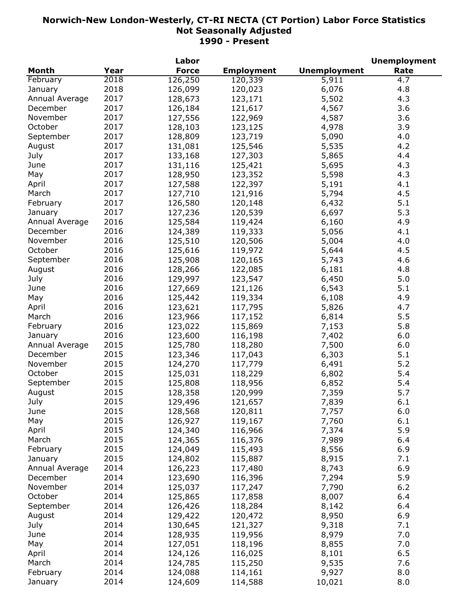|                |      | Labor        |                   |                     | <b>Unemployment</b> |
|----------------|------|--------------|-------------------|---------------------|---------------------|
| <b>Month</b>   | Year | <b>Force</b> | <b>Employment</b> | <b>Unemployment</b> | Rate                |
| February       | 2018 | 126,250      | 120,339           | 5,911               | 4.7                 |
| January        | 2018 | 126,099      | 120,023           | 6,076               | 4.8                 |
| Annual Average | 2017 | 128,673      | 123,171           | 5,502               | 4.3                 |
| December       | 2017 | 126,184      | 121,617           | 4,567               | 3.6                 |
| November       | 2017 | 127,556      | 122,969           | 4,587               | 3.6                 |
| October        | 2017 | 128,103      | 123,125           | 4,978               | 3.9                 |
| September      | 2017 | 128,809      | 123,719           | 5,090               | 4.0                 |
| August         | 2017 | 131,081      | 125,546           | 5,535               | 4.2                 |
| July           | 2017 | 133,168      | 127,303           | 5,865               | 4.4                 |
| June           | 2017 | 131,116      | 125,421           | 5,695               | 4.3                 |
| May            | 2017 | 128,950      | 123,352           | 5,598               | 4.3                 |
| April          | 2017 | 127,588      | 122,397           | 5,191               | 4.1                 |
| March          | 2017 | 127,710      | 121,916           | 5,794               | 4.5                 |
| February       | 2017 | 126,580      | 120,148           | 6,432               | 5.1                 |
| January        | 2017 | 127,236      | 120,539           | 6,697               | 5.3                 |
|                | 2016 |              |                   |                     | 4.9                 |
| Annual Average |      | 125,584      | 119,424           | 6,160               |                     |
| December       | 2016 | 124,389      | 119,333           | 5,056               | 4.1                 |
| November       | 2016 | 125,510      | 120,506           | 5,004               | 4.0                 |
| October        | 2016 | 125,616      | 119,972           | 5,644               | 4.5                 |
| September      | 2016 | 125,908      | 120,165           | 5,743               | 4.6                 |
| August         | 2016 | 128,266      | 122,085           | 6,181               | 4.8                 |
| July           | 2016 | 129,997      | 123,547           | 6,450               | 5.0                 |
| June           | 2016 | 127,669      | 121,126           | 6,543               | 5.1                 |
| May            | 2016 | 125,442      | 119,334           | 6,108               | 4.9                 |
| April          | 2016 | 123,621      | 117,795           | 5,826               | 4.7                 |
| March          | 2016 | 123,966      | 117,152           | 6,814               | 5.5                 |
| February       | 2016 | 123,022      | 115,869           | 7,153               | 5.8                 |
| January        | 2016 | 123,600      | 116,198           | 7,402               | 6.0                 |
| Annual Average | 2015 | 125,780      | 118,280           | 7,500               | 6.0                 |
| December       | 2015 | 123,346      | 117,043           | 6,303               | 5.1                 |
| November       | 2015 | 124,270      | 117,779           | 6,491               | 5.2                 |
| October        | 2015 | 125,031      | 118,229           | 6,802               | 5.4                 |
| September      | 2015 | 125,808      | 118,956           | 6,852               | 5.4                 |
| August         | 2015 | 128,358      | 120,999           | 7,359               | 5.7                 |
| July           | 2015 | 129,496      | 121,657           | 7,839               | 6.1                 |
| June           | 2015 | 128,568      | 120,811           | 7,757               | 6.0                 |
| May            | 2015 | 126,927      | 119,167           | 7,760               | 6.1                 |
| April          | 2015 | 124,340      | 116,966           | 7,374               | 5.9                 |
| March          | 2015 | 124,365      | 116,376           | 7,989               | 6.4                 |
| February       | 2015 | 124,049      | 115,493           | 8,556               | 6.9                 |
| January        | 2015 | 124,802      | 115,887           | 8,915               | 7.1                 |
| Annual Average | 2014 | 126,223      | 117,480           | 8,743               | 6.9                 |
| December       | 2014 | 123,690      | 116,396           | 7,294               | 5.9                 |
| November       | 2014 | 125,037      | 117,247           | 7,790               | 6.2                 |
| October        | 2014 | 125,865      | 117,858           | 8,007               | 6.4                 |
| September      | 2014 | 126,426      | 118,284           | 8,142               | 6.4                 |
| August         | 2014 |              |                   |                     | 6.9                 |
|                |      | 129,422      | 120,472           | 8,950               |                     |
| July           | 2014 | 130,645      | 121,327           | 9,318               | 7.1                 |
| June           | 2014 | 128,935      | 119,956           | 8,979               | 7.0                 |
| May            | 2014 | 127,051      | 118,196           | 8,855               | 7.0                 |
| April          | 2014 | 124,126      | 116,025           | 8,101               | 6.5                 |
| March          | 2014 | 124,785      | 115,250           | 9,535               | 7.6                 |
| February       | 2014 | 124,088      | 114,161           | 9,927               | 8.0                 |
| January        | 2014 | 124,609      | 114,588           | 10,021              | 8.0                 |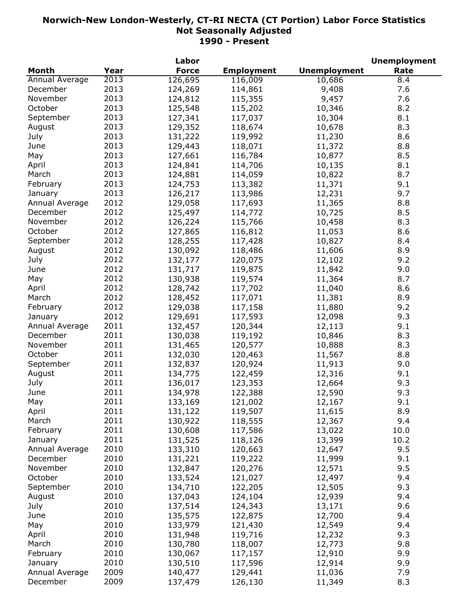|                |      | Labor        |                   |                     | <b>Unemployment</b> |
|----------------|------|--------------|-------------------|---------------------|---------------------|
| <b>Month</b>   | Year | <b>Force</b> | <b>Employment</b> | <b>Unemployment</b> | Rate                |
| Annual Average | 2013 | 126,695      | 116,009           | 10,686              | 8.4                 |
| December       | 2013 | 124,269      | 114,861           | 9,408               | 7.6                 |
| November       | 2013 | 124,812      | 115,355           | 9,457               | 7.6                 |
| October        | 2013 | 125,548      | 115,202           | 10,346              | 8.2                 |
| September      | 2013 | 127,341      | 117,037           | 10,304              | 8.1                 |
| August         | 2013 | 129,352      | 118,674           | 10,678              | 8.3                 |
| July           | 2013 | 131,222      | 119,992           | 11,230              | 8.6                 |
| June           | 2013 | 129,443      | 118,071           | 11,372              | 8.8                 |
| May            | 2013 | 127,661      | 116,784           | 10,877              | 8.5                 |
| April          | 2013 | 124,841      | 114,706           | 10,135              | 8.1                 |
| March          | 2013 |              |                   |                     |                     |
|                |      | 124,881      | 114,059           | 10,822              | 8.7                 |
| February       | 2013 | 124,753      | 113,382           | 11,371              | 9.1                 |
| January        | 2013 | 126,217      | 113,986           | 12,231              | 9.7                 |
| Annual Average | 2012 | 129,058      | 117,693           | 11,365              | 8.8                 |
| December       | 2012 | 125,497      | 114,772           | 10,725              | 8.5                 |
| November       | 2012 | 126,224      | 115,766           | 10,458              | 8.3                 |
| October        | 2012 | 127,865      | 116,812           | 11,053              | 8.6                 |
| September      | 2012 | 128,255      | 117,428           | 10,827              | 8.4                 |
| August         | 2012 | 130,092      | 118,486           | 11,606              | 8.9                 |
| July           | 2012 | 132,177      | 120,075           | 12,102              | 9.2                 |
| June           | 2012 | 131,717      | 119,875           | 11,842              | 9.0                 |
| May            | 2012 | 130,938      | 119,574           | 11,364              | 8.7                 |
| April          | 2012 | 128,742      | 117,702           | 11,040              | 8.6                 |
| March          | 2012 | 128,452      | 117,071           | 11,381              | 8.9                 |
| February       | 2012 | 129,038      | 117,158           | 11,880              | 9.2                 |
| January        | 2012 | 129,691      | 117,593           | 12,098              | 9.3                 |
| Annual Average | 2011 | 132,457      | 120,344           | 12,113              | 9.1                 |
| December       | 2011 | 130,038      | 119,192           | 10,846              | 8.3                 |
| November       | 2011 | 131,465      | 120,577           | 10,888              | 8.3                 |
| October        | 2011 | 132,030      | 120,463           | 11,567              | 8.8                 |
| September      | 2011 | 132,837      | 120,924           | 11,913              | 9.0                 |
| August         | 2011 | 134,775      | 122,459           | 12,316              | 9.1                 |
| July           | 2011 | 136,017      | 123,353           | 12,664              | 9.3                 |
| June           | 2011 | 134,978      | 122,388           | 12,590              | 9.3                 |
| May            | 2011 | 133,169      | 121,002           | 12,167              | 9.1                 |
|                | 2011 |              |                   |                     | 8.9                 |
| April<br>March | 2011 | 131,122      | 119,507           | 11,615              |                     |
|                |      | 130,922      | 118,555           | 12,367              | 9.4                 |
| February       | 2011 | 130,608      | 117,586           | 13,022              | 10.0                |
| January        | 2011 | 131,525      | 118,126           | 13,399              | 10.2                |
| Annual Average | 2010 | 133,310      | 120,663           | 12,647              | 9.5                 |
| December       | 2010 | 131,221      | 119,222           | 11,999              | 9.1                 |
| November       | 2010 | 132,847      | 120,276           | 12,571              | 9.5                 |
| October        | 2010 | 133,524      | 121,027           | 12,497              | 9.4                 |
| September      | 2010 | 134,710      | 122,205           | 12,505              | 9.3                 |
| August         | 2010 | 137,043      | 124,104           | 12,939              | 9.4                 |
| July           | 2010 | 137,514      | 124,343           | 13,171              | 9.6                 |
| June           | 2010 | 135,575      | 122,875           | 12,700              | 9.4                 |
| May            | 2010 | 133,979      | 121,430           | 12,549              | 9.4                 |
| April          | 2010 | 131,948      | 119,716           | 12,232              | 9.3                 |
| March          | 2010 | 130,780      | 118,007           | 12,773              | 9.8                 |
| February       | 2010 | 130,067      | 117,157           | 12,910              | 9.9                 |
| January        | 2010 | 130,510      | 117,596           | 12,914              | 9.9                 |
| Annual Average | 2009 | 140,477      | 129,441           | 11,036              | 7.9                 |
| December       | 2009 | 137,479      | 126,130           | 11,349              | 8.3                 |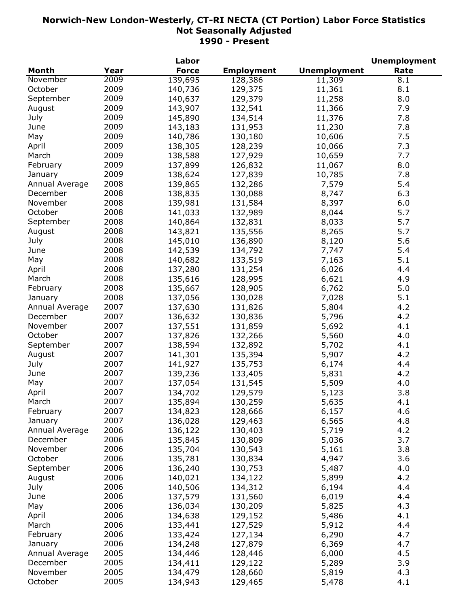|                |      | Labor        |                   |                     | <b>Unemployment</b> |
|----------------|------|--------------|-------------------|---------------------|---------------------|
| <b>Month</b>   | Year | <b>Force</b> | <b>Employment</b> | <b>Unemployment</b> | Rate                |
| November       | 2009 | 139,695      | 128,386           | 11,309              | 8.1                 |
| October        | 2009 | 140,736      | 129,375           | 11,361              | 8.1                 |
| September      | 2009 | 140,637      | 129,379           | 11,258              | 8.0                 |
| August         | 2009 | 143,907      | 132,541           | 11,366              | 7.9                 |
| July           | 2009 | 145,890      | 134,514           | 11,376              | 7.8                 |
| June           | 2009 | 143,183      | 131,953           | 11,230              | 7.8                 |
| May            | 2009 | 140,786      | 130,180           | 10,606              | 7.5                 |
| April          | 2009 | 138,305      | 128,239           | 10,066              | 7.3                 |
| March          | 2009 | 138,588      | 127,929           | 10,659              | 7.7                 |
| February       | 2009 | 137,899      |                   |                     | 8.0                 |
|                | 2009 |              | 126,832           | 11,067              | 7.8                 |
| January        |      | 138,624      | 127,839           | 10,785              |                     |
| Annual Average | 2008 | 139,865      | 132,286           | 7,579               | 5.4                 |
| December       | 2008 | 138,835      | 130,088           | 8,747               | 6.3                 |
| November       | 2008 | 139,981      | 131,584           | 8,397               | 6.0                 |
| October        | 2008 | 141,033      | 132,989           | 8,044               | 5.7                 |
| September      | 2008 | 140,864      | 132,831           | 8,033               | 5.7                 |
| August         | 2008 | 143,821      | 135,556           | 8,265               | 5.7                 |
| July           | 2008 | 145,010      | 136,890           | 8,120               | 5.6                 |
| June           | 2008 | 142,539      | 134,792           | 7,747               | 5.4                 |
| May            | 2008 | 140,682      | 133,519           | 7,163               | 5.1                 |
| April          | 2008 | 137,280      | 131,254           | 6,026               | 4.4                 |
| March          | 2008 | 135,616      | 128,995           | 6,621               | 4.9                 |
| February       | 2008 | 135,667      | 128,905           | 6,762               | 5.0                 |
| January        | 2008 | 137,056      | 130,028           | 7,028               | 5.1                 |
| Annual Average | 2007 | 137,630      | 131,826           | 5,804               | 4.2                 |
| December       | 2007 | 136,632      | 130,836           | 5,796               | 4.2                 |
| November       | 2007 | 137,551      | 131,859           | 5,692               | 4.1                 |
| October        | 2007 | 137,826      | 132,266           | 5,560               | 4.0                 |
| September      | 2007 | 138,594      | 132,892           | 5,702               | 4.1                 |
| August         | 2007 | 141,301      | 135,394           | 5,907               | 4.2                 |
| July           | 2007 | 141,927      | 135,753           | 6,174               | 4.4                 |
| June           | 2007 | 139,236      | 133,405           | 5,831               | 4.2                 |
| May            | 2007 | 137,054      | 131,545           | 5,509               | 4.0                 |
| April          | 2007 | 134,702      | 129,579           | 5,123               | 3.8                 |
| March          | 2007 | 135,894      | 130,259           | 5,635               | 4.1                 |
| February       | 2007 | 134,823      |                   |                     | 4.6                 |
|                | 2007 | 136,028      | 128,666           | 6,157               | 4.8                 |
| January        | 2006 |              | 129,463           | 6,565               |                     |
| Annual Average |      | 136,122      | 130,403           | 5,719               | 4.2                 |
| December       | 2006 | 135,845      | 130,809           | 5,036               | 3.7                 |
| November       | 2006 | 135,704      | 130,543           | 5,161               | 3.8                 |
| October        | 2006 | 135,781      | 130,834           | 4,947               | 3.6                 |
| September      | 2006 | 136,240      | 130,753           | 5,487               | 4.0                 |
| August         | 2006 | 140,021      | 134,122           | 5,899               | 4.2                 |
| July           | 2006 | 140,506      | 134,312           | 6,194               | 4.4                 |
| June           | 2006 | 137,579      | 131,560           | 6,019               | 4.4                 |
| May            | 2006 | 136,034      | 130,209           | 5,825               | 4.3                 |
| April          | 2006 | 134,638      | 129,152           | 5,486               | 4.1                 |
| March          | 2006 | 133,441      | 127,529           | 5,912               | 4.4                 |
| February       | 2006 | 133,424      | 127,134           | 6,290               | 4.7                 |
| January        | 2006 | 134,248      | 127,879           | 6,369               | 4.7                 |
| Annual Average | 2005 | 134,446      | 128,446           | 6,000               | 4.5                 |
| December       | 2005 | 134,411      | 129,122           | 5,289               | 3.9                 |
| November       | 2005 | 134,479      | 128,660           | 5,819               | 4.3                 |
| October        | 2005 | 134,943      | 129,465           | 5,478               | 4.1                 |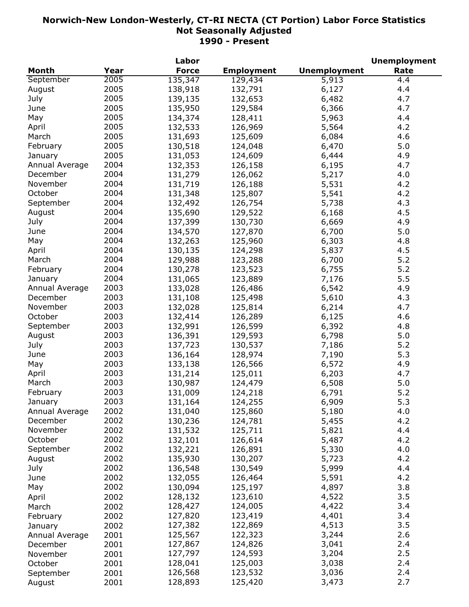|                |      | Labor        |                   |                     | <b>Unemployment</b> |
|----------------|------|--------------|-------------------|---------------------|---------------------|
| <b>Month</b>   | Year | <b>Force</b> | <b>Employment</b> | <b>Unemployment</b> | Rate                |
| September      | 2005 | 135,347      | 129,434           | 5,913               | 4.4                 |
| August         | 2005 | 138,918      | 132,791           | 6,127               | 4.4                 |
| July           | 2005 | 139,135      | 132,653           | 6,482               | 4.7                 |
| June           | 2005 | 135,950      | 129,584           | 6,366               | 4.7                 |
| May            | 2005 | 134,374      | 128,411           | 5,963               | 4.4                 |
| April          | 2005 | 132,533      | 126,969           | 5,564               | 4.2                 |
| March          | 2005 | 131,693      | 125,609           | 6,084               | 4.6                 |
| February       | 2005 | 130,518      | 124,048           | 6,470               | 5.0                 |
| January        | 2005 | 131,053      | 124,609           | 6,444               | 4.9                 |
| Annual Average | 2004 | 132,353      | 126,158           | 6,195               | 4.7                 |
| December       | 2004 | 131,279      | 126,062           | 5,217               | 4.0                 |
| November       | 2004 |              |                   |                     |                     |
|                |      | 131,719      | 126,188           | 5,531               | 4.2                 |
| October        | 2004 | 131,348      | 125,807           | 5,541               | 4.2                 |
| September      | 2004 | 132,492      | 126,754           | 5,738               | 4.3                 |
| August         | 2004 | 135,690      | 129,522           | 6,168               | 4.5                 |
| July           | 2004 | 137,399      | 130,730           | 6,669               | 4.9                 |
| June           | 2004 | 134,570      | 127,870           | 6,700               | 5.0                 |
| May            | 2004 | 132,263      | 125,960           | 6,303               | 4.8                 |
| April          | 2004 | 130,135      | 124,298           | 5,837               | 4.5                 |
| March          | 2004 | 129,988      | 123,288           | 6,700               | 5.2                 |
| February       | 2004 | 130,278      | 123,523           | 6,755               | 5.2                 |
| January        | 2004 | 131,065      | 123,889           | 7,176               | 5.5                 |
| Annual Average | 2003 | 133,028      | 126,486           | 6,542               | 4.9                 |
| December       | 2003 | 131,108      | 125,498           | 5,610               | 4.3                 |
| November       | 2003 | 132,028      | 125,814           | 6,214               | 4.7                 |
| October        | 2003 | 132,414      | 126,289           | 6,125               | 4.6                 |
| September      | 2003 | 132,991      | 126,599           | 6,392               | 4.8                 |
| August         | 2003 | 136,391      | 129,593           | 6,798               | 5.0                 |
| July           | 2003 | 137,723      | 130,537           | 7,186               | 5.2                 |
| June           | 2003 | 136,164      | 128,974           | 7,190               | 5.3                 |
| May            | 2003 | 133,138      | 126,566           | 6,572               | 4.9                 |
| April          | 2003 | 131,214      | 125,011           | 6,203               | 4.7                 |
| March          | 2003 | 130,987      | 124,479           | 6,508               | 5.0                 |
| February       | 2003 | 131,009      | 124,218           | 6,791               | 5.2                 |
| January        | 2003 | 131,164      | 124,255           | 6,909               | 5.3                 |
| Annual Average | 2002 | 131,040      | 125,860           | 5,180               | 4.0                 |
| December       | 2002 | 130,236      | 124,781           | 5,455               | 4.2                 |
| November       | 2002 | 131,532      | 125,711           | 5,821               | 4.4                 |
| October        | 2002 | 132,101      | 126,614           | 5,487               | 4.2                 |
| September      | 2002 | 132,221      | 126,891           | 5,330               | 4.0                 |
| August         | 2002 | 135,930      | 130,207           | 5,723               | 4.2                 |
|                | 2002 |              | 130,549           |                     | 4.4                 |
| July           | 2002 | 136,548      |                   | 5,999               |                     |
| June           |      | 132,055      | 126,464           | 5,591               | 4.2                 |
| May            | 2002 | 130,094      | 125,197           | 4,897               | 3.8                 |
| April          | 2002 | 128,132      | 123,610           | 4,522               | 3.5                 |
| March          | 2002 | 128,427      | 124,005           | 4,422               | 3.4                 |
| February       | 2002 | 127,820      | 123,419           | 4,401               | 3.4                 |
| January        | 2002 | 127,382      | 122,869           | 4,513               | 3.5                 |
| Annual Average | 2001 | 125,567      | 122,323           | 3,244               | 2.6                 |
| December       | 2001 | 127,867      | 124,826           | 3,041               | 2.4                 |
| November       | 2001 | 127,797      | 124,593           | 3,204               | 2.5                 |
| October        | 2001 | 128,041      | 125,003           | 3,038               | 2.4                 |
| September      | 2001 | 126,568      | 123,532           | 3,036               | 2.4                 |
| August         | 2001 | 128,893      | 125,420           | 3,473               | 2.7                 |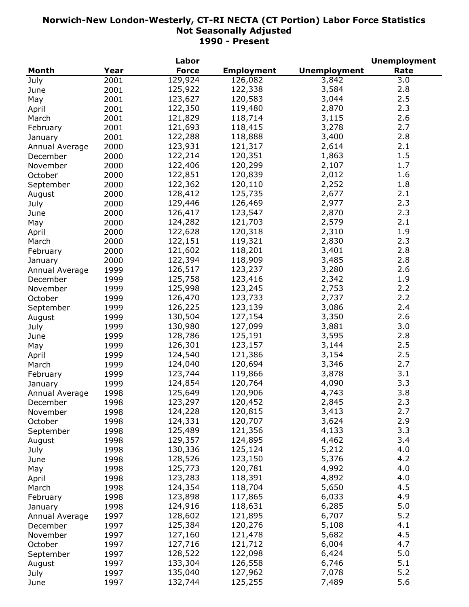|                |      | Labor        |                   |                     | <b>Unemployment</b> |
|----------------|------|--------------|-------------------|---------------------|---------------------|
| <b>Month</b>   | Year | <b>Force</b> | <b>Employment</b> | <b>Unemployment</b> | Rate                |
| July           | 2001 | 129,924      | 126,082           | 3,842               | 3.0                 |
| June           | 2001 | 125,922      | 122,338           | 3,584               | 2.8                 |
| May            | 2001 | 123,627      | 120,583           | 3,044               | 2.5                 |
| April          | 2001 | 122,350      | 119,480           | 2,870               | 2.3                 |
| March          | 2001 | 121,829      | 118,714           | 3,115               | 2.6                 |
| February       | 2001 | 121,693      | 118,415           | 3,278               | 2.7                 |
| January        | 2001 | 122,288      | 118,888           | 3,400               | 2.8                 |
| Annual Average | 2000 | 123,931      | 121,317           | 2,614               | 2.1                 |
| December       | 2000 | 122,214      | 120,351           | 1,863               | 1.5                 |
| November       | 2000 | 122,406      | 120,299           | 2,107               | 1.7                 |
| October        | 2000 | 122,851      | 120,839           | 2,012               | 1.6                 |
|                |      | 122,362      | 120,110           | 2,252               | 1.8                 |
| September      | 2000 |              |                   |                     |                     |
| August         | 2000 | 128,412      | 125,735           | 2,677               | 2.1                 |
| July           | 2000 | 129,446      | 126,469           | 2,977               | 2.3                 |
| June           | 2000 | 126,417      | 123,547           | 2,870               | 2.3                 |
| May            | 2000 | 124,282      | 121,703           | 2,579               | 2.1                 |
| April          | 2000 | 122,628      | 120,318           | 2,310               | 1.9                 |
| March          | 2000 | 122,151      | 119,321           | 2,830               | 2.3                 |
| February       | 2000 | 121,602      | 118,201           | 3,401               | 2.8                 |
| January        | 2000 | 122,394      | 118,909           | 3,485               | 2.8                 |
| Annual Average | 1999 | 126,517      | 123,237           | 3,280               | 2.6                 |
| December       | 1999 | 125,758      | 123,416           | 2,342               | 1.9                 |
| November       | 1999 | 125,998      | 123,245           | 2,753               | 2.2                 |
| October        | 1999 | 126,470      | 123,733           | 2,737               | 2.2                 |
| September      | 1999 | 126,225      | 123,139           | 3,086               | 2.4                 |
| August         | 1999 | 130,504      | 127,154           | 3,350               | 2.6                 |
| July           | 1999 | 130,980      | 127,099           | 3,881               | 3.0                 |
| June           | 1999 | 128,786      | 125,191           | 3,595               | 2.8                 |
| May            | 1999 | 126,301      | 123,157           | 3,144               | 2.5                 |
| April          | 1999 | 124,540      | 121,386           | 3,154               | 2.5                 |
| March          | 1999 | 124,040      | 120,694           | 3,346               | 2.7                 |
| February       | 1999 | 123,744      | 119,866           | 3,878               | 3.1                 |
| January        | 1999 | 124,854      | 120,764           | 4,090               | 3.3                 |
| Annual Average | 1998 | 125,649      | 120,906           | 4,743               | 3.8                 |
| December       | 1998 | 123,297      | 120,452           | 2,845               | 2.3                 |
| November       | 1998 | 124,228      | 120,815           | 3,413               | 2.7                 |
| October        | 1998 | 124,331      | 120,707           | 3,624               | 2.9                 |
| September      | 1998 | 125,489      | 121,356           | 4,133               | 3.3                 |
| August         | 1998 | 129,357      | 124,895           | 4,462               | 3.4                 |
| July           | 1998 | 130,336      | 125,124           | 5,212               | 4.0                 |
| June           | 1998 | 128,526      | 123,150           | 5,376               | 4.2                 |
|                | 1998 | 125,773      | 120,781           | 4,992               | 4.0                 |
| May            |      | 123,283      | 118,391           | 4,892               | 4.0                 |
| April          | 1998 |              |                   |                     | 4.5                 |
| March          | 1998 | 124,354      | 118,704           | 5,650               |                     |
| February       | 1998 | 123,898      | 117,865           | 6,033               | 4.9                 |
| January        | 1998 | 124,916      | 118,631           | 6,285               | 5.0                 |
| Annual Average | 1997 | 128,602      | 121,895           | 6,707               | 5.2                 |
| December       | 1997 | 125,384      | 120,276           | 5,108               | 4.1                 |
| November       | 1997 | 127,160      | 121,478           | 5,682               | 4.5                 |
| October        | 1997 | 127,716      | 121,712           | 6,004               | 4.7                 |
| September      | 1997 | 128,522      | 122,098           | 6,424               | 5.0                 |
| August         | 1997 | 133,304      | 126,558           | 6,746               | 5.1                 |
| July           | 1997 | 135,040      | 127,962           | 7,078               | 5.2                 |
| June           | 1997 | 132,744      | 125,255           | 7,489               | 5.6                 |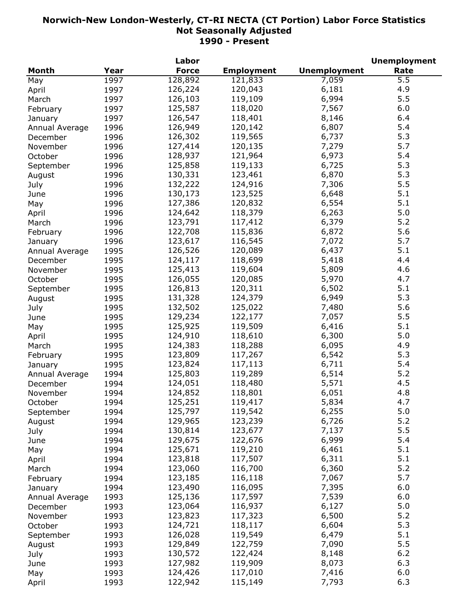|                |      | Labor        |                   |                     | <b>Unemployment</b> |
|----------------|------|--------------|-------------------|---------------------|---------------------|
| <b>Month</b>   | Year | <b>Force</b> | <b>Employment</b> | <b>Unemployment</b> | Rate                |
| May            | 1997 | 128,892      | 121,833           | 7,059               | 5.5                 |
| April          | 1997 | 126,224      | 120,043           | 6,181               | 4.9                 |
| March          | 1997 | 126,103      | 119,109           | 6,994               | 5.5                 |
| February       | 1997 | 125,587      | 118,020           | 7,567               | 6.0                 |
| January        | 1997 | 126,547      | 118,401           | 8,146               | 6.4                 |
| Annual Average | 1996 | 126,949      | 120,142           | 6,807               | 5.4                 |
| December       | 1996 | 126,302      | 119,565           | 6,737               | 5.3                 |
| November       | 1996 | 127,414      | 120,135           | 7,279               | 5.7                 |
| October        | 1996 | 128,937      | 121,964           | 6,973               | 5.4                 |
|                | 1996 | 125,858      | 119,133           | 6,725               | 5.3                 |
| September      | 1996 | 130,331      | 123,461           | 6,870               | 5.3                 |
| August         |      | 132,222      |                   |                     | 5.5                 |
| July           | 1996 |              | 124,916           | 7,306               |                     |
| June           | 1996 | 130,173      | 123,525           | 6,648               | 5.1                 |
| May            | 1996 | 127,386      | 120,832           | 6,554               | 5.1                 |
| April          | 1996 | 124,642      | 118,379           | 6,263               | 5.0                 |
| March          | 1996 | 123,791      | 117,412           | 6,379               | 5.2                 |
| February       | 1996 | 122,708      | 115,836           | 6,872               | 5.6                 |
| January        | 1996 | 123,617      | 116,545           | 7,072               | 5.7                 |
| Annual Average | 1995 | 126,526      | 120,089           | 6,437               | 5.1                 |
| December       | 1995 | 124,117      | 118,699           | 5,418               | 4.4                 |
| November       | 1995 | 125,413      | 119,604           | 5,809               | 4.6                 |
| October        | 1995 | 126,055      | 120,085           | 5,970               | 4.7                 |
| September      | 1995 | 126,813      | 120,311           | 6,502               | 5.1                 |
| August         | 1995 | 131,328      | 124,379           | 6,949               | 5.3                 |
| July           | 1995 | 132,502      | 125,022           | 7,480               | 5.6                 |
| June           | 1995 | 129,234      | 122,177           | 7,057               | 5.5                 |
| May            | 1995 | 125,925      | 119,509           | 6,416               | 5.1                 |
| April          | 1995 | 124,910      | 118,610           | 6,300               | 5.0                 |
| March          | 1995 | 124,383      | 118,288           | 6,095               | 4.9                 |
| February       | 1995 | 123,809      | 117,267           | 6,542               | 5.3                 |
| January        | 1995 | 123,824      | 117,113           | 6,711               | 5.4                 |
| Annual Average | 1994 | 125,803      | 119,289           | 6,514               | 5.2                 |
| December       | 1994 | 124,051      | 118,480           | 5,571               | 4.5                 |
| November       | 1994 | 124,852      | 118,801           | 6,051               | 4.8                 |
| October        | 1994 | 125,251      | 119,417           | 5,834               | 4.7                 |
| September      | 1994 | 125,797      | 119,542           | 6,255               | 5.0                 |
| August         | 1994 | 129,965      | 123,239           | 6,726               | 5.2                 |
| July           | 1994 | 130,814      | 123,677           | 7,137               | 5.5                 |
|                | 1994 | 129,675      | 122,676           | 6,999               | 5.4                 |
| June           | 1994 | 125,671      | 119,210           | 6,461               | 5.1                 |
| May            |      | 123,818      | 117,507           | 6,311               | 5.1                 |
| April          | 1994 |              |                   |                     | 5.2                 |
| March          | 1994 | 123,060      | 116,700           | 6,360               |                     |
| February       | 1994 | 123,185      | 116,118           | 7,067               | 5.7                 |
| January        | 1994 | 123,490      | 116,095           | 7,395               | 6.0                 |
| Annual Average | 1993 | 125,136      | 117,597           | 7,539               | 6.0                 |
| December       | 1993 | 123,064      | 116,937           | 6,127               | 5.0                 |
| November       | 1993 | 123,823      | 117,323           | 6,500               | 5.2                 |
| October        | 1993 | 124,721      | 118,117           | 6,604               | 5.3                 |
| September      | 1993 | 126,028      | 119,549           | 6,479               | 5.1                 |
| August         | 1993 | 129,849      | 122,759           | 7,090               | 5.5                 |
| July           | 1993 | 130,572      | 122,424           | 8,148               | $6.2$               |
| June           | 1993 | 127,982      | 119,909           | 8,073               | 6.3                 |
| May            | 1993 | 124,426      | 117,010           | 7,416               | 6.0                 |
| April          | 1993 | 122,942      | 115,149           | 7,793               | 6.3                 |